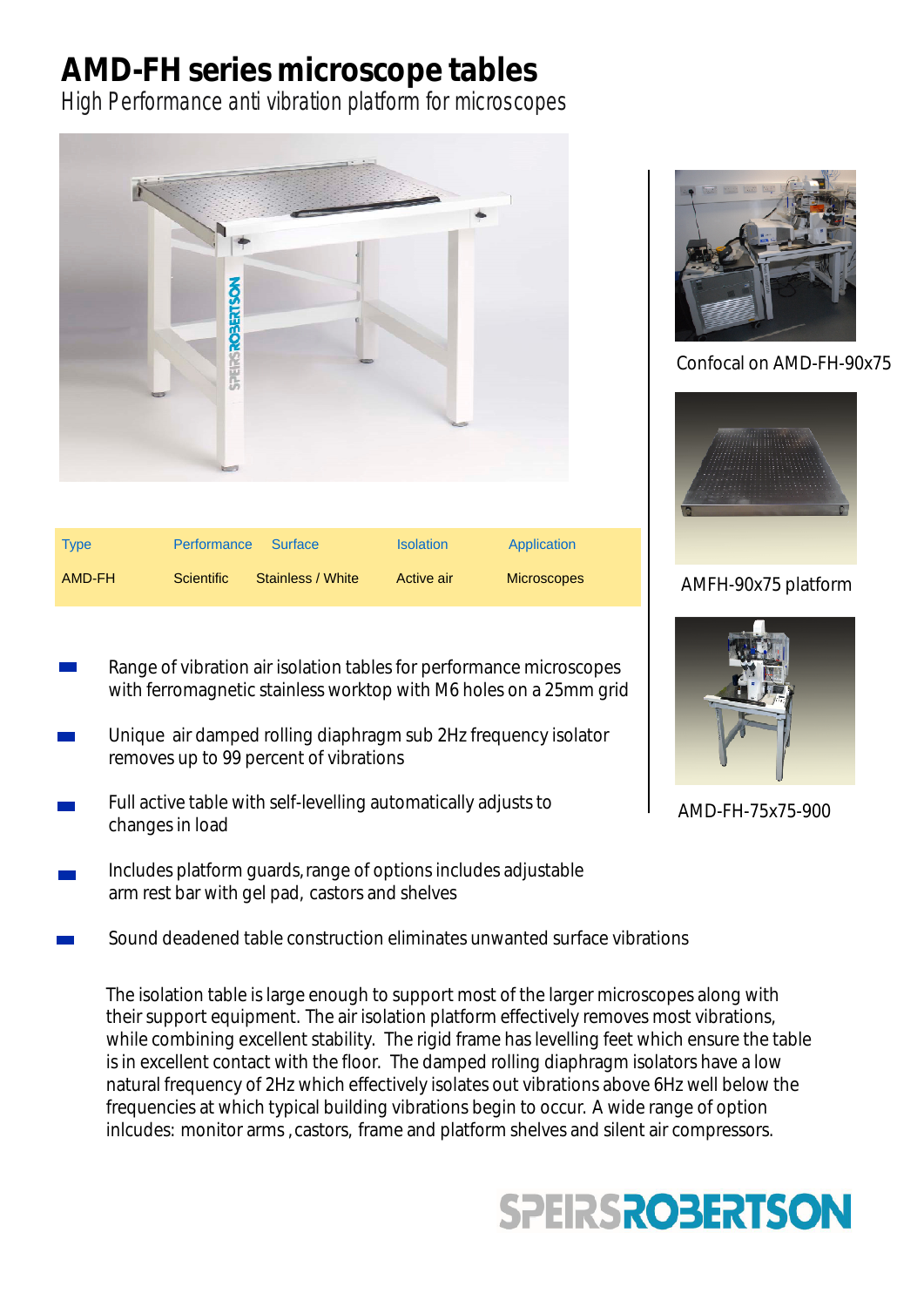# **AMD-FH series microscope tables**

High Performance anti vibration platform for microscopes



| <b>Type</b> | Performance       | ■ Surface         | <b>Isolation</b> | Application        |
|-------------|-------------------|-------------------|------------------|--------------------|
| AMD-FH      | <b>Scientific</b> | Stainless / White | Active air       | <b>Microscopes</b> |

- Range of vibration air isolation tables for performance microscopes with ferromagnetic stainless worktop with M6 holes on a 25mm grid
- Unique air damped rolling diaphragm sub 2Hz frequency isolator removes up to 99 percent of vibrations
- Full active table with self-levelling automatically adjusts to changes in load
- Includes platform guards,range of options includes adjustable arm rest bar with gel pad, castors and shelves
- Sound deadened table construction eliminates unwanted surface vibrations

The isolation table is large enough to support most of the larger microscopes along with their support equipment. The air isolation platform effectively removes most vibrations, while combining excellent stability. The rigid frame has levelling feet which ensure the table is in excellent contact with the floor. The damped rolling diaphragm isolators have a low natural frequency of 2Hz which effectively isolates out vibrations above 6Hz well below the frequencies at which typical building vibrations begin to occur. A wide range of option inlcudes: monitor arms , castors, frame and platform shelves and silent air compressors.



Confocal on AMD-FH-90x75



### AMFH-90x75 platform



AMD-FH-75x75-900